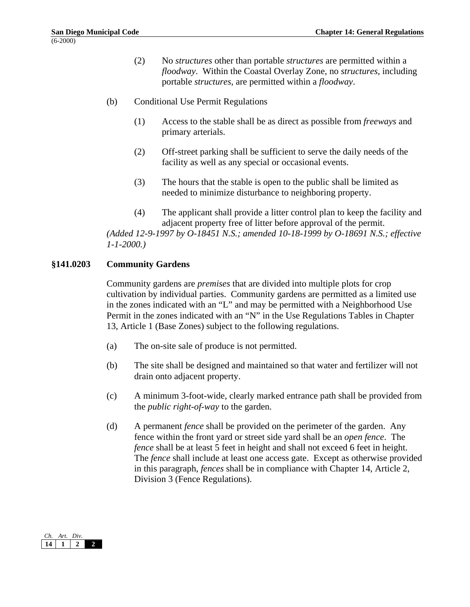- (2) No *structures* other than portable *structures* are permitted within a *floodway*. Within the Coastal Overlay Zone, no *structures*, including portable *structures*, are permitted within a *floodway*.
- (b) Conditional Use Permit Regulations
	- (1) Access to the stable shall be as direct as possible from *freeways* and primary arterials.
	- (2) Off-street parking shall be sufficient to serve the daily needs of the facility as well as any special or occasional events.
	- (3) The hours that the stable is open to the public shall be limited as needed to minimize disturbance to neighboring property.
	- (4) The applicant shall provide a litter control plan to keep the facility and adjacent property free of litter before approval of the permit.

*(Added 12-9-1997 by O-18451 N.S.; amended 10-18-1999 by O-18691 N.S.; effective 1-1-2000.)*

## **§141.0203 Community Gardens**

Community gardens are *premises* that are divided into multiple plots for crop cultivation by individual parties. Community gardens are permitted as a limited use in the zones indicated with an "L" and may be permitted with a Neighborhood Use Permit in the zones indicated with an "N" in the Use Regulations Tables in Chapter 13, Article 1 (Base Zones) subject to the following regulations.

- (a) The on-site sale of produce is not permitted.
- (b) The site shall be designed and maintained so that water and fertilizer will not drain onto adjacent property.
- (c) A minimum 3-foot-wide, clearly marked entrance path shall be provided from the *public right-of-way* to the garden.
- (d) A permanent *fence* shall be provided on the perimeter of the garden. Any fence within the front yard or street side yard shall be an *open fence*. The *fence* shall be at least 5 feet in height and shall not exceed 6 feet in height. The *fence* shall include at least one access gate. Except as otherwise provided in this paragraph, *fences* shall be in compliance with Chapter 14, Article 2, Division 3 (Fence Regulations).